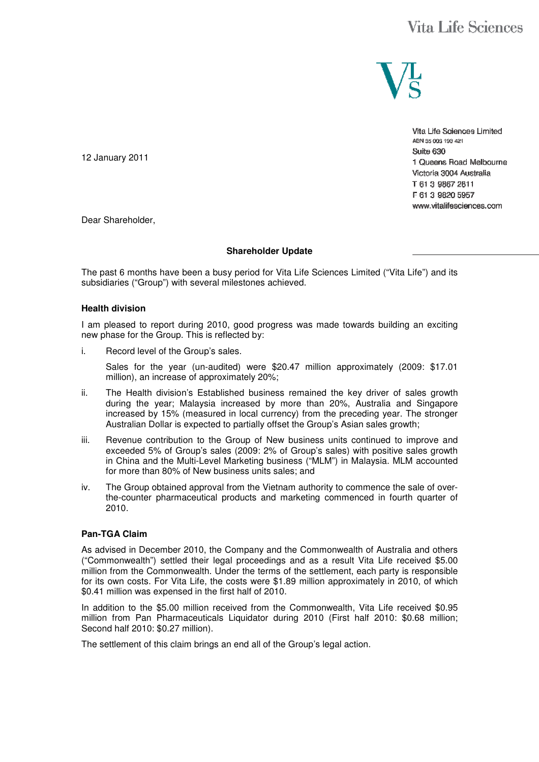

Vita Life Sciences Limited ABN 35 003 190 421 Suite 630 1 Queens Road Melbourne Victoria 3004 Australia T 61 3 9867 2811 F 61 3 9820 5957 www.vitalifesciences.com

12 January 2011

Dear Shareholder,

#### **Shareholder Update**

The past 6 months have been a busy period for Vita Life Sciences Limited ("Vita Life") and its subsidiaries ("Group") with several milestones achieved.

## **Health division**

I am pleased to report during 2010, good progress was made towards building an exciting new phase for the Group. This is reflected by:

i. Record level of the Group's sales.

Sales for the year (un-audited) were \$20.47 million approximately (2009: \$17.01 million), an increase of approximately 20%;

- ii. The Health division's Established business remained the key driver of sales growth during the year; Malaysia increased by more than 20%, Australia and Singapore increased by 15% (measured in local currency) from the preceding year. The stronger Australian Dollar is expected to partially offset the Group's Asian sales growth;
- iii. Revenue contribution to the Group of New business units continued to improve and exceeded 5% of Group's sales (2009: 2% of Group's sales) with positive sales growth in China and the Multi-Level Marketing business ("MLM") in Malaysia. MLM accounted for more than 80% of New business units sales; and
- iv. The Group obtained approval from the Vietnam authority to commence the sale of overthe-counter pharmaceutical products and marketing commenced in fourth quarter of 2010.

# **Pan-TGA Claim**

As advised in December 2010, the Company and the Commonwealth of Australia and others ("Commonwealth") settled their legal proceedings and as a result Vita Life received \$5.00 million from the Commonwealth. Under the terms of the settlement, each party is responsible for its own costs. For Vita Life, the costs were \$1.89 million approximately in 2010, of which \$0.41 million was expensed in the first half of 2010.

In addition to the \$5.00 million received from the Commonwealth, Vita Life received \$0.95 million from Pan Pharmaceuticals Liquidator during 2010 (First half 2010: \$0.68 million; Second half 2010: \$0.27 million).

The settlement of this claim brings an end all of the Group's legal action.